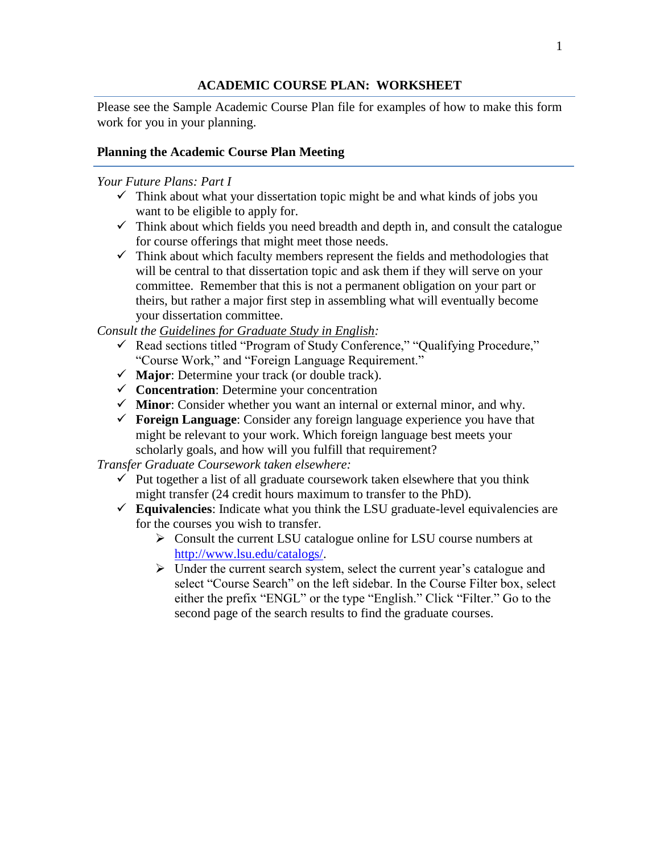## **ACADEMIC COURSE PLAN: WORKSHEET**

Please see the Sample Academic Course Plan file for examples of how to make this form work for you in your planning.

## **Planning the Academic Course Plan Meeting**

## *Your Future Plans: Part I*

- $\checkmark$  Think about what your dissertation topic might be and what kinds of jobs you want to be eligible to apply for.
- $\checkmark$  Think about which fields you need breadth and depth in, and consult the catalogue for course offerings that might meet those needs.
- $\checkmark$  Think about which faculty members represent the fields and methodologies that will be central to that dissertation topic and ask them if they will serve on your committee. Remember that this is not a permanent obligation on your part or theirs, but rather a major first step in assembling what will eventually become your dissertation committee.

*Consult the Guidelines for Graduate Study in English:*

- Read sections titled "Program of Study Conference," "Qualifying Procedure," "Course Work," and "Foreign Language Requirement."
- **Major**: Determine your track (or double track).
- **Concentration**: Determine your concentration
- **Minor**: Consider whether you want an internal or external minor, and why.
- **Foreign Language**: Consider any foreign language experience you have that might be relevant to your work. Which foreign language best meets your scholarly goals, and how will you fulfill that requirement?

*Transfer Graduate Coursework taken elsewhere:*

- $\checkmark$  Put together a list of all graduate coursework taken elsewhere that you think might transfer (24 credit hours maximum to transfer to the PhD).
- $\checkmark$  Equivalencies: Indicate what you think the LSU graduate-level equivalencies are for the courses you wish to transfer.
	- $\triangleright$  Consult the current LSU catalogue online for LSU course numbers at [http://www.lsu.edu/catalogs/.](http://www.lsu.edu/catalogs/)
	- $\triangleright$  Under the current search system, select the current year's catalogue and select "Course Search" on the left sidebar. In the Course Filter box, select either the prefix "ENGL" or the type "English." Click "Filter." Go to the second page of the search results to find the graduate courses.